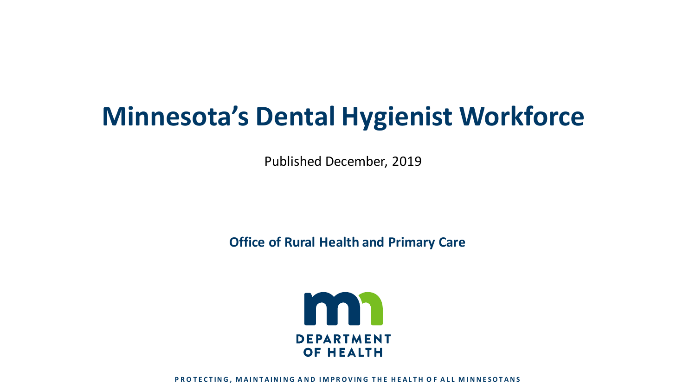# **Minnesota's Dental Hygienist Workforce**

Published December, 2019

**Office of Rural Health and Primary Care**



**PROTECTING, MAINTAINING AND IMPROVING THE HEALTH OF ALL MINNESOTANS**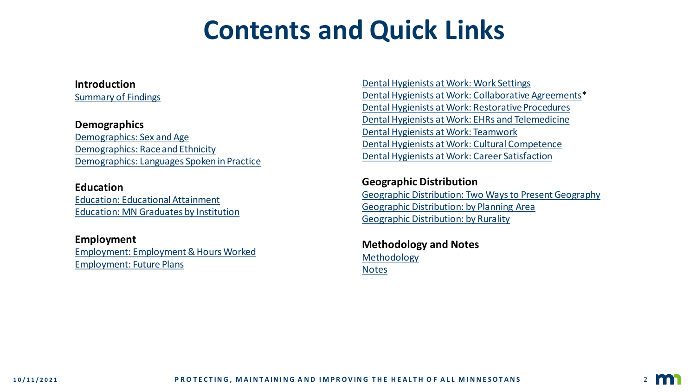### **Contents and Quick Links**

**Introduction** [Summary of Findings](#page-2-0)

#### **Demographics**

[Demographics: Sex and Age](#page-3-0) [Demographics: Race and Ethnicity](#page-4-0) [Demographics: Languages Spoken in Practice](#page-5-0)

#### **Education**

[Education: Educational Attainment](#page-6-0) [Education: MN Graduates by Institution](#page-7-0)

**Employment** [Employment: Employment & Hours Worked](#page-8-0) [Employment: Future Plans](#page-9-0)

Dental Hygienists [at Work: Work Settings](#page-10-0) [Dental Hygienists at Work: Collaborative Agreements\\*](#page-11-0) [Dental Hygienists at Work: Restorative Procedures](#page-12-0) Dental Hygienists [at Work: EHRs and Telemedicine](#page-13-0) Dental Hygienists [at Work: Teamwork](#page-14-0) Dental Hygienists [at Work: Cultural Competence](#page-15-0) Dental Hygienists [at Work: Career Satisfaction](#page-16-0)

#### **Geographic Distribution** [Geographic Distribution: Two Ways to Present Geography](#page-17-0) [Geographic Distribution: by Planning Area](#page-18-0) [Geographic Distribution: by Rurality](#page-19-0)

**Methodology and Notes** [Methodology](#page-20-0) [Notes](#page-21-0)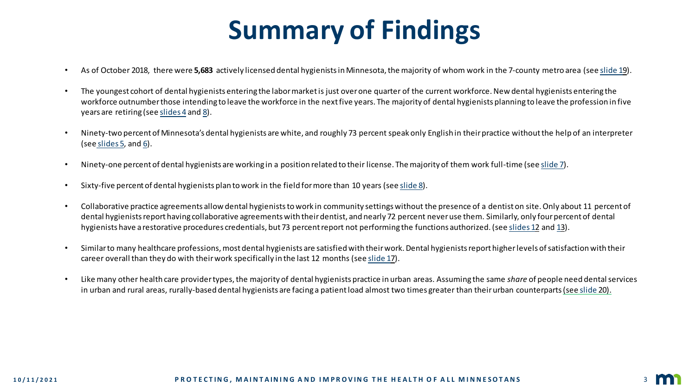# **Summary of Findings**

- <span id="page-2-0"></span>• As of October 2018, there were **5,683** actively licensed dental hygienists in Minnesota, the majority of whom work in the 7-county metro area (see [slide 19](#page-18-0)).
- The youngest cohort of dental hygienists entering the labor market is just over one quarter of the current workforce. New dental hygienists entering the workforce outnumber those intending to leave the workforce in the next five years. The majority of dental hygienists planning to leave the profession in five years are retiring (see [slides 4](#page-3-0) and [8\)](#page-9-0).
- Ninety-two percent of Minnesota's dental hygienists are white, and roughly 73 percent speak only English in their practice without the help of an interpreter (see [slides 5,](#page-4-0) and [6\)](#page-5-0).
- Ninety-one percent of dental hygienists are working in a position related to their license. The majority of them work full-time (see [slide 7\)](#page-8-0).
- Sixty-five percent of dental hygienists plan to work in the field for more than 10 years (see [slide 8\)](#page-9-0).
- Collaborative practice agreements allow dental hygienists to work in community settings without the presence of a dentist on site. Only about 11 percent of dental hygienists report having collaborative agreements with their dentist, and nearly 72 percent never use them. Similarly, only four percent of dental hygienists have a restorative procedures credentials, but 73 percent report not performing the functions authorized. (see [slides 1](#page-11-0)2 and [13](#page-12-0)).
- Similar to many healthcare professions, most dental hygienists are satisfied with their work. Dental hygienists report higherlevels of satisfaction with their career overall than they do with their work specifically in the last 12 months (see [slide 17](#page-16-0)).
- Like many other health care provider types, the majority of dental hygienists practice in urban areas. Assuming the same *share* of people need dental services in urban and rural areas, rurally-based dental hygienists are facing a patient load almost two times greater than their urban counterparts (see [slide 2](#page-19-0)0).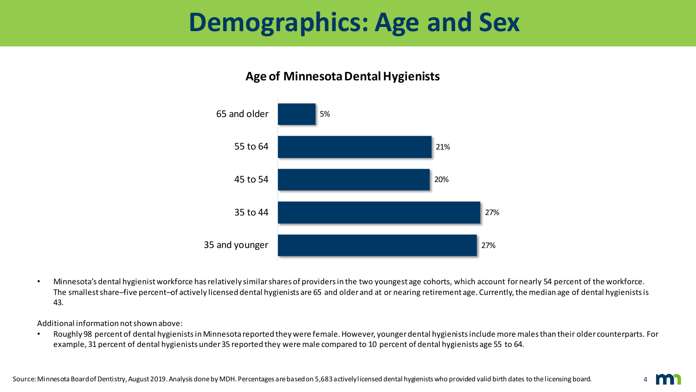### <span id="page-3-0"></span>**Demographics: Age and Sex**

### **Age of Minnesota Dental Hygienists**



• Minnesota's dental hygienist workforce has relatively similar shares of providers in the two youngest age cohorts, which account for nearly 54 percent of the workforce. The smallest share–five percent–of actively licensed dental hygienists are 65 and older and at or nearing retirement age. Currently, the median age of dental hygienists is 43.

Additional information not shown above:

• Roughly 98 percent of dental hygienists in Minnesota reported they were female. However, younger dental hygienists include more males than their older counterparts. For example, 31 percent of dental hygienists under 35 reported they were male compared to 10 percent of dental hygienists age 55 to 64.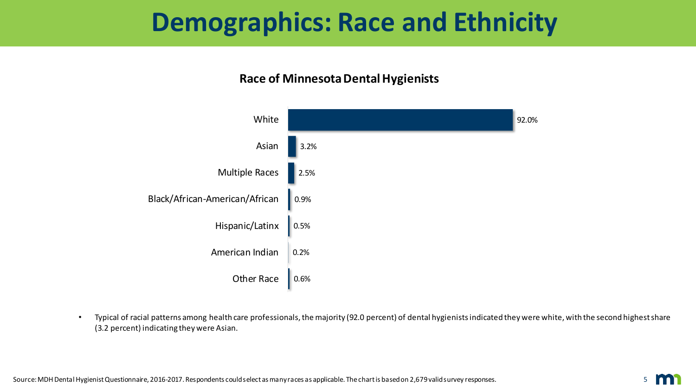### <span id="page-4-0"></span>**Demographics: Race and Ethnicity**

#### **Race of Minnesota Dental Hygienists**



• Typical of racial patterns among health care professionals, the majority (92.0 percent) of dental hygienists indicated they were white, with the second highest share (3.2 percent) indicating they were Asian.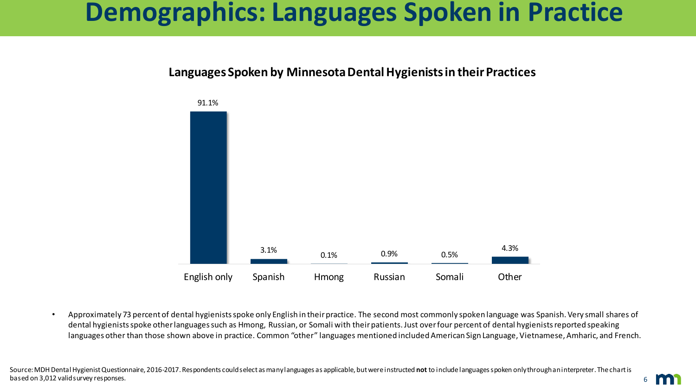### <span id="page-5-0"></span>**Demographics: Languages Spoken in Practice**

#### **Languages Spoken by Minnesota Dental Hygienists in their Practices**



• Approximately 73 percent of dental hygienists spoke only English in their practice. The second most commonly spoken language was Spanish. Very small shares of dental hygienists spoke other languages such as Hmong, Russian, or Somali with their patients. Just over four percent of dental hygienists reported speaking languages other than those shown above in practice. Common "other" languages mentioned included American Sign Language, Vietnamese, Amharic, and French.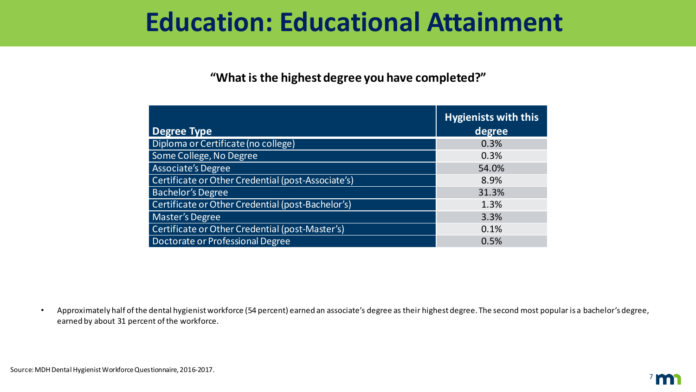### <span id="page-6-0"></span>**Education: Educational Attainment**

#### **"What is the highest degree you have completed?"**

| <b>Degree Type</b>                                 | <b>Hygienists with this</b><br>degree |
|----------------------------------------------------|---------------------------------------|
| Diploma or Certificate (no college)                | 0.3%                                  |
| Some College, No Degree                            | 0.3%                                  |
| <b>Associate's Degree</b>                          | 54.0%                                 |
| Certificate or Other Credential (post-Associate's) | 8.9%                                  |
| <b>Bachelor's Degree</b>                           | 31.3%                                 |
| Certificate or Other Credential (post-Bachelor's)  | 1.3%                                  |
| <b>Master's Degree</b>                             | 3.3%                                  |
| Certificate or Other Credential (post-Master's)    | 0.1%                                  |
| Doctorate or Professional Degree                   | 0.5%                                  |

• Approximately half of the dental hygienist workforce (54 percent) earned an associate's degree as their highest degree. The second most popular is a bachelor's degree, earned by about 31 percent of the workforce.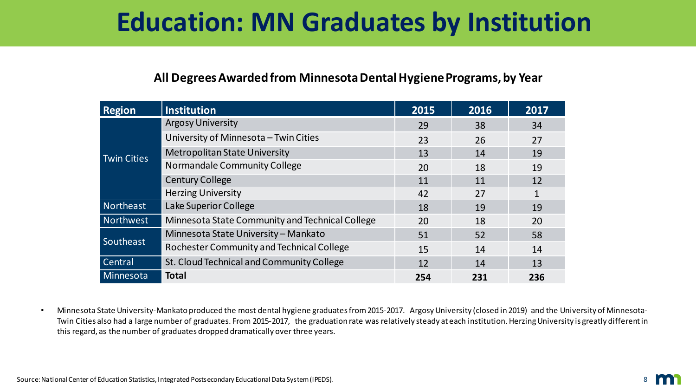## <span id="page-7-0"></span>**Education: MN Graduates by Institution**

#### **All Degrees Awarded from Minnesota Dental Hygiene Programs, by Year**

| <b>Region</b>      | <b>Institution</b>                              | 2015 | 2016 | 2017 |
|--------------------|-------------------------------------------------|------|------|------|
| <b>Twin Cities</b> | <b>Argosy University</b>                        | 29   | 38   | 34   |
|                    | University of Minnesota - Twin Cities           | 23   | 26   | 27   |
|                    | <b>Metropolitan State University</b>            | 13   | 14   | 19   |
|                    | Normandale Community College                    | 20   | 18   | 19   |
|                    | <b>Century College</b>                          | 11   | 11   | 12   |
|                    | <b>Herzing University</b>                       | 42   | 27   | 1    |
| Northeast          | Lake Superior College                           | 18   | 19   | 19   |
| Northwest          | Minnesota State Community and Technical College | 20   | 18   | 20   |
| Southeast          | Minnesota State University - Mankato            | 51   | 52   | 58   |
|                    | Rochester Community and Technical College       | 15   | 14   | 14   |
| Central            | St. Cloud Technical and Community College       | 12   | 14   | 13   |
| Minnesota          | <b>Total</b>                                    | 254  | 231  | 236  |

• Minnesota State University-Mankato produced the most dental hygiene graduates from 2015-2017. Argosy University (closed in 2019) and the University of Minnesota-Twin Cities also had a large number of graduates. From 2015-2017, the graduation rate was relatively steady at each institution.HerzingUniversity is greatly different in this regard, as the number of graduates dropped dramatically over three years.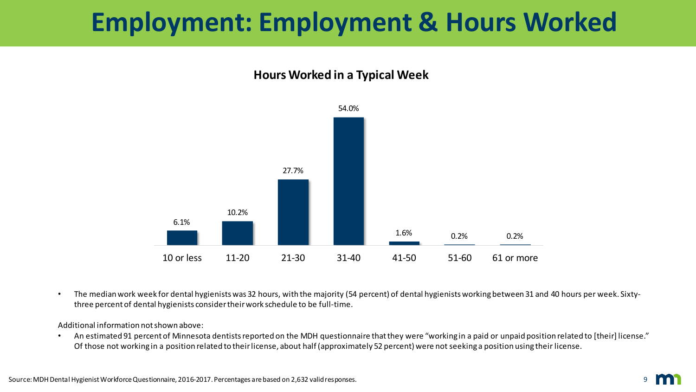## <span id="page-8-0"></span>**Employment: Employment & Hours Worked**

#### **Hours Worked in a Typical Week**



• The median work week for dental hygienists was 32 hours, with the majority (54 percent) of dental hygienists working between 31 and 40 hours per week. Sixtythree percent of dental hygienists consider their work schedule to be full-time.

Additional information not shown above:

• An estimated 91 percent of Minnesota dentists reported on the MDH questionnaire that they were "working in a paid or unpaid position related to [their] license." Of those not working in a position related to their license, about half (approximately 52 percent) were not seeking a position using their license.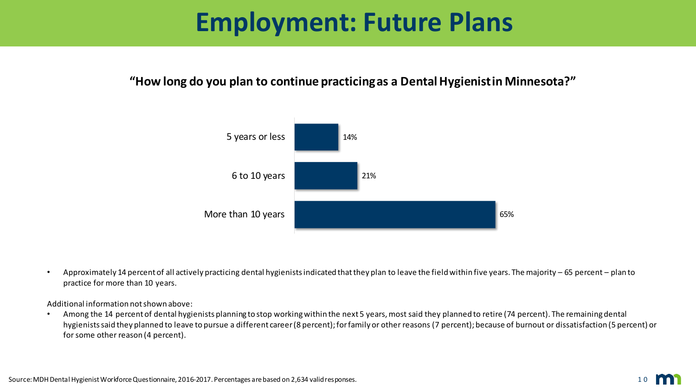### **Employment: Future Plans**

#### <span id="page-9-0"></span>**"How long do you plan to continue practicing as a Dental Hygienist in Minnesota?"**



• Approximately 14 percent of all actively practicing dental hygienists indicated that they plan to leave the field within five years. The majority – 65 percent – plan to practice for more than 10 years.

Additional information not shown above:

• Among the 14 percent of dental hygienists planning to stop working within the next 5 years, most said they planned to retire (74 percent). The remaining dental hygienists said they planned to leave to pursue a different career (8 percent); for family or other reasons (7 percent); because of burnout or dissatisfaction (5 percent) or for some other reason (4 percent).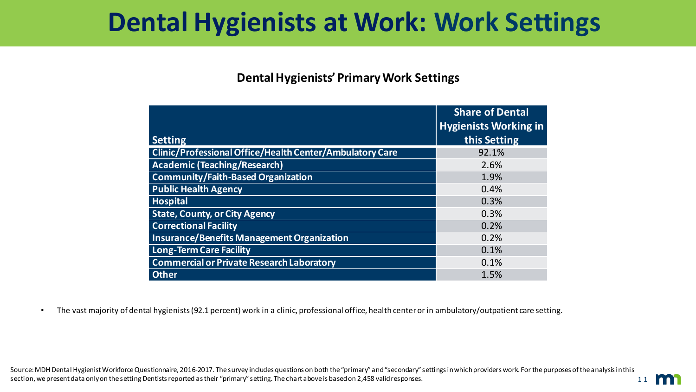### <span id="page-10-0"></span>**Dental Hygienists at Work: Work Settings**

#### **Dental Hygienists' Primary Work Settings**

|                                                          | <b>Share of Dental</b><br><b>Hygienists Working in</b> |
|----------------------------------------------------------|--------------------------------------------------------|
| <b>Setting</b>                                           | this Setting                                           |
| Clinic/Professional Office/Health Center/Ambulatory Care | 92.1%                                                  |
| <b>Academic (Teaching/Research)</b>                      | 2.6%                                                   |
| <b>Community/Faith-Based Organization</b>                | 1.9%                                                   |
| <b>Public Health Agency</b>                              | 0.4%                                                   |
| <b>Hospital</b>                                          | 0.3%                                                   |
| <b>State, County, or City Agency</b>                     | 0.3%                                                   |
| <b>Correctional Facility</b>                             | 0.2%                                                   |
| <b>Insurance/Benefits Management Organization</b>        | 0.2%                                                   |
| <b>Long-Term Care Facility</b>                           | 0.1%                                                   |
| <b>Commercial or Private Research Laboratory</b>         | 0.1%                                                   |
| <b>Other</b>                                             | 1.5%                                                   |

• The vast majority of dental hygienists (92.1 percent) work in a clinic, professional office, health center or in ambulatory/outpatient care setting.

1 1 Source: MDH Dental Hygienist Workforce Questionnaire, 2016-2017. The survey includes questions on both the "primary" and "secondary" settings in which providers work. For the purposes of the analysis in this section, we present data only on the setting Dentists reported as their "primary" setting. The chart above is based on 2,458 valid responses.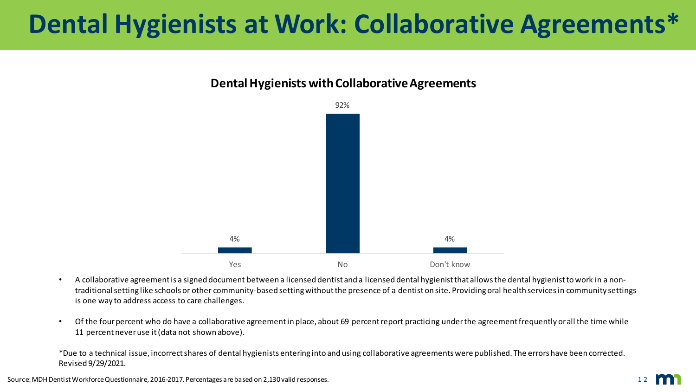## <span id="page-11-0"></span>**Dental Hygienists at Work: Collaborative Agreements\***

#### **Dental Hygienists with Collaborative Agreements**



- A collaborative agreement is a signed document between a licensed dentist and a licensed dental hygienist that allows the dental hygienist to work in a nontraditional setting like schools or other community-based setting without the presence of a dentist on site. Providing oral health services in community settings is one way to address access to care challenges.
- Of the four percent who do have a collaborative agreement in place, about 69 percent report practicing under the agreement frequently or all the time while 11 percent never use it (data not shown above).

\*Due to a technical issue, incorrect shares of dental hygienists entering into and using collaborative agreements were published. The errors have been corrected. Revised 9/29/2021.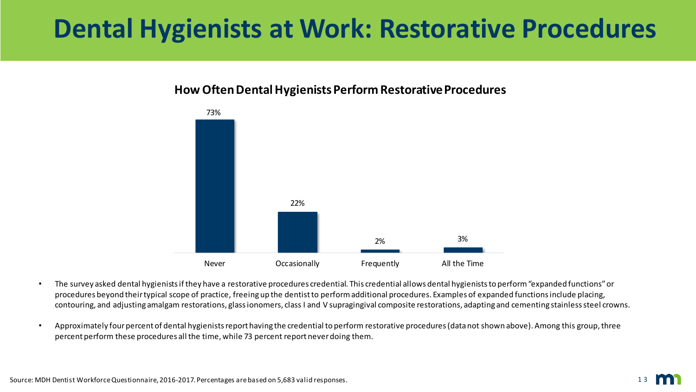# <span id="page-12-0"></span>**Dental Hygienists at Work: Restorative Procedures**

#### **How Often Dental Hygienists Perform Restorative Procedures**



- The survey asked dental hygienists if they have a restorative procedures credential. This credential allows dental hygieniststo perform "expanded functions" or procedures beyond their typical scope of practice, freeing up the dentist to perform additional procedures. Examples of expanded functions include placing, contouring, and adjusting amalgam restorations, glass ionomers, class I and V supragingival composite restorations, adapting and cementing stainless steel crowns.
- Approximately four percent of dental hygienists report having the credential to perform restorative procedures (data not shown above). Among this group, three percent perform these procedures all the time, while 73 percent report never doing them.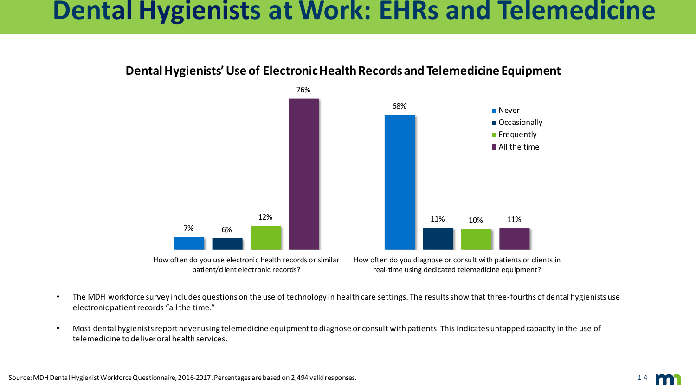### <span id="page-13-0"></span>**Dental Hygienists at Work: EHRs and Telemedicine**



### **Dental Hygienists' Use of Electronic Health Records and Telemedicine Equipment**

- The MDH workforce survey includes questions on the use of technology in health care settings. The results show that three-fourths of dental hygienists use electronic patient records "all the time."
- Most dental hygienists report never using telemedicine equipment to diagnose or consult with patients. This indicates untapped capacity in the use of telemedicine to deliver oral health services.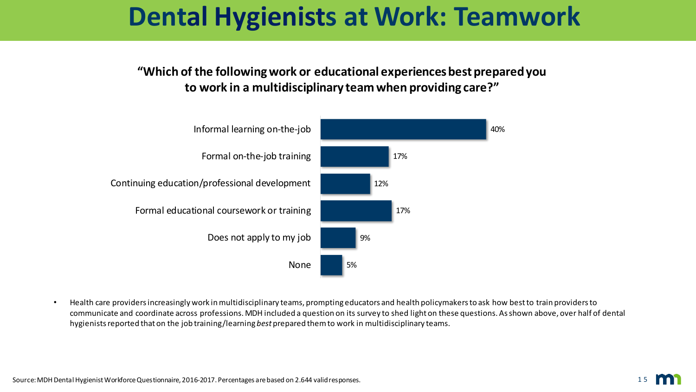### <span id="page-14-0"></span>**Dental Hygienists at Work: Teamwork**

**"Which of the following work or educational experiences best prepared you to work in a multidisciplinary team when providing care?"**



• Health care providers increasingly work in multidisciplinary teams, prompting educators and health policymakers to ask how best to train providers to communicate and coordinate across professions. MDH included a question on its survey to shed light on these questions. As shown above, over half of dental hygienists reported that on the job training/learning *best* prepared them to work in multidisciplinary teams.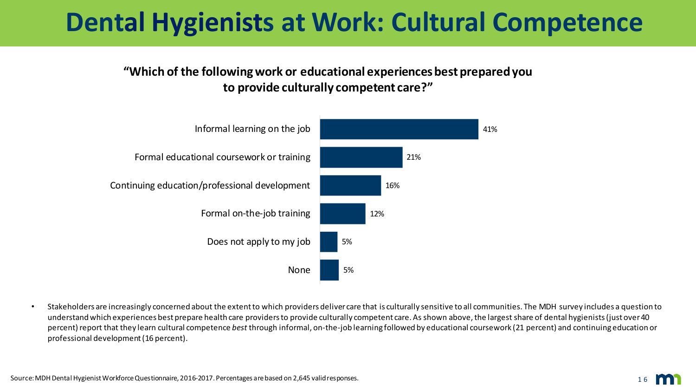## <span id="page-15-0"></span>**Dental Hygienists at Work: Cultural Competence**

**"Which of the following work or educational experiences best prepared you to provide culturally competent care?"**



• Stakeholders are increasingly concerned about the extent to which providers deliver care that is culturally sensitive to all communities. The MDH survey includes a question to understand which experiences best prepare health care providers to provide culturally competent care. As shown above, the largest share of dental hygienists(just over 40 percent) report that they learn cultural competence *best* through informal, on-the-job learning followed by educational coursework (21 percent) and continuing education or professional development (16 percent).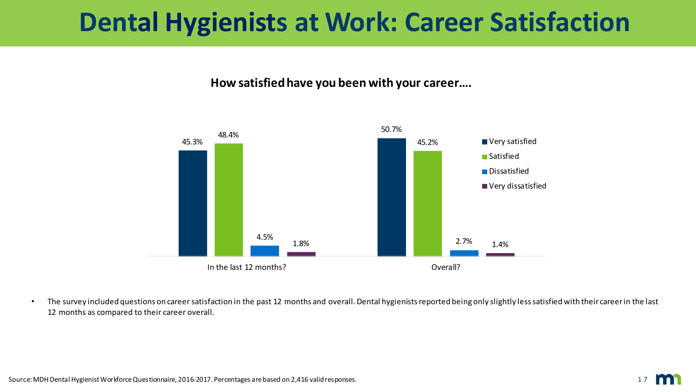### <span id="page-16-0"></span>**Dental Hygienists at Work: Career Satisfaction**

#### **How satisfied have you been with your career….**



• The survey included questions on career satisfaction in the past 12 months and overall. Dental hygienists reported being only slightly less satisfied with their career in the last 12 months as compared to their career overall.

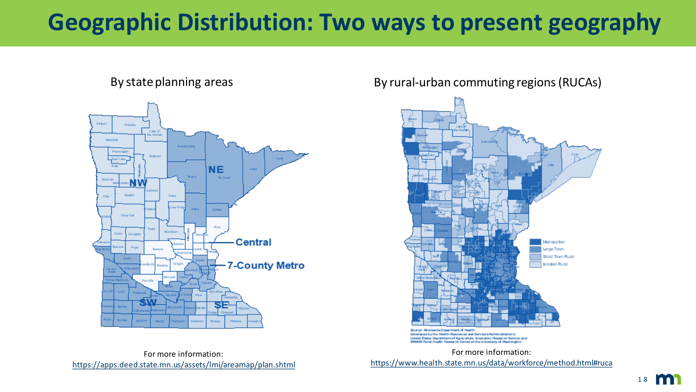### <span id="page-17-0"></span>**Geographic Distribution: Two ways to present geography**



By state planning areas **By rural-urban commuting regions (RUCAs)** 



Developed by the Health Resources and Services Administration's United States Department of Agriculture, Economic Research Service and WAMI Rural Health Research Center at the University of Washington

For more information: <https://www.health.state.mn.us/data/workforce/method.html#ruca>

For more information: <https://apps.deed.state.mn.us/assets/lmi/areamap/plan.shtml>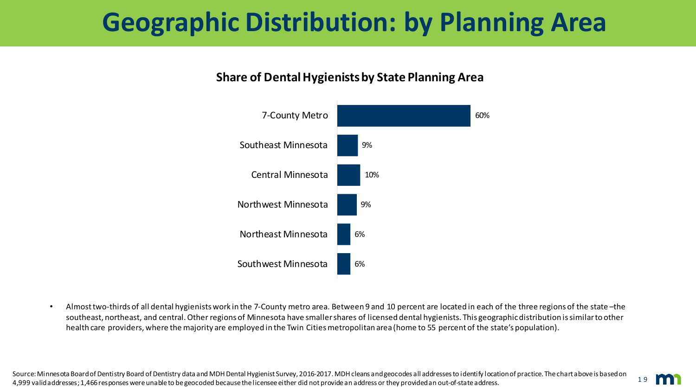# <span id="page-18-0"></span>**Geographic Distribution: by Planning Area**

### **Share of Dental Hygienists by State Planning Area**



• Almost two-thirds of all dental hygienists work in the 7-County metro area. Between 9 and 10 percent are located in each of the three regions of the state –the southeast, northeast, and central. Other regions of Minnesota have smaller shares of licensed dental hygienists. This geographicdistribution is similar to other health care providers, where the majority are employed in the Twin Cities metropolitan area (home to 55 percent of the state's population).

1 9

Source: Minnesota Board of Dentistry Board of Dentistry data and MDH Dental Hygienist Survey, 2016-2017. MDH cleans and geocodes all addresses to identify location of practice. The chart above is based on 4,999 valid addresses; 1,466 responses were unable to be geocoded because the licensee either did not provide an address or they provided an out-of-state address.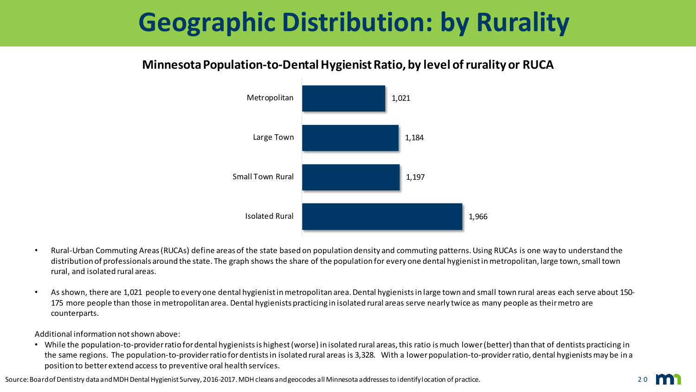# <span id="page-19-0"></span>**Geographic Distribution: by Rurality**

### **Minnesota Population-to-Dental Hygienist Ratio, by level of rurality or RUCA**



- Rural-Urban Commuting Areas (RUCAs) define areas of the state based on population density and commuting patterns. Using RUCAs is one way to understand the distribution of professionals around the state. The graph shows the share of the population for every one dental hygienist inmetropolitan, large town, small town rural, and isolated rural areas.
- As shown, there are 1,021 people to every one dental hygienist in metropolitan area. Dental hygienists in large town and small town rural areas each serve about 150- 175 more people than those in metropolitan area. Dental hygienists practicing in isolated rural areas serve nearly twice as many people as their metro are counterparts.

Additional information not shown above:

• While the population-to-provider ratio for dental hygienists is highest (worse) in isolated rural areas, this ratio is much lower (better) than that of dentists practicing in the same regions. The population-to-provider ratio for dentists in isolated rural areas is 3,328. With a lower population-to-provider ratio, dental hygienists may be in a position to better extend access to preventive oral health services.

Source: Board of Dentistry data and MDH Dental Hygienist Survey, 2016-2017. MDH cleans and geocodes all Minnesota addresses to identify location of practice.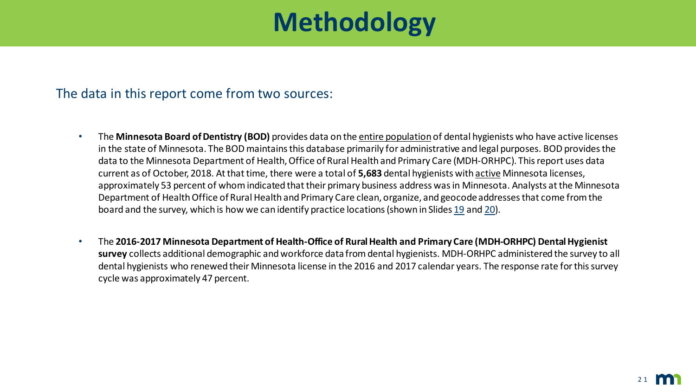## **Methodology**

### <span id="page-20-0"></span>The data in this report come from two sources:

- The **Minnesota Board of Dentistry (BOD)** provides data on the entire population of dental hygienists who have active licenses in the state of Minnesota. The BOD maintains this database primarily for administrative and legal purposes. BOD provides the data to the Minnesota Department of Health, Office of Rural Health and Primary Care (MDH-ORHPC). This report uses data current as of October, 2018. At that time, there were a total of **5,683** dental hygienists with active Minnesota licenses, approximately 53 percent of whom indicated that their primary business address was in Minnesota. Analysts at the Minnesota Department of Health Office of Rural Health and Primary Care clean, organize, and geocode addresses that come from the board and the survey, which is how we can identify practice locations (shown in Slides [19](#page-18-0) and [20\)](#page-19-0).
- The **2016-2017 Minnesota Department of Health-Office of Rural Health and Primary Care (MDH-ORHPC) Dental Hygienist survey** collects additional demographic and workforce data from dental hygienists. MDH-ORHPC administered the survey to all dental hygienists who renewed their Minnesota license in the 2016 and 2017 calendar years. The response rate for this survey cycle was approximately 47 percent.